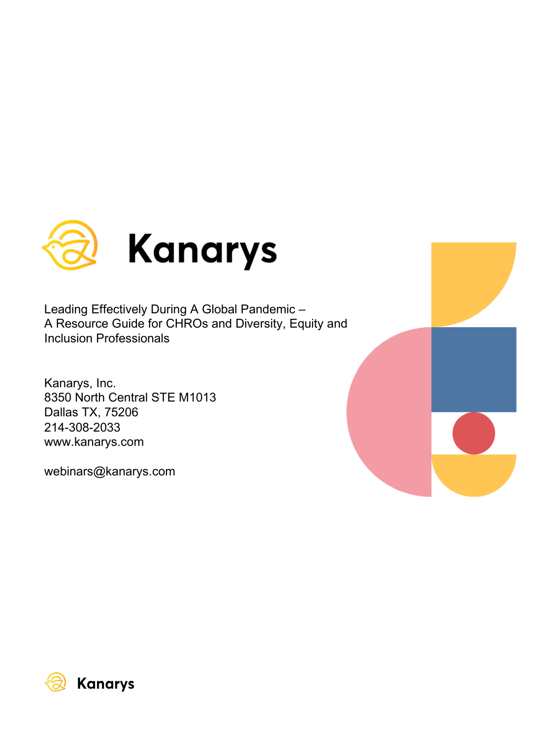

Leading Effectively During A Global Pandemic – A Resource Guide for CHROs and Diversity, Equity and Inclusion Professionals

Kanarys, Inc. 8350 North Central STE M1013 Dallas TX, 75206 214-308-2033 www.kanarys.com

webinars@kanarys.com